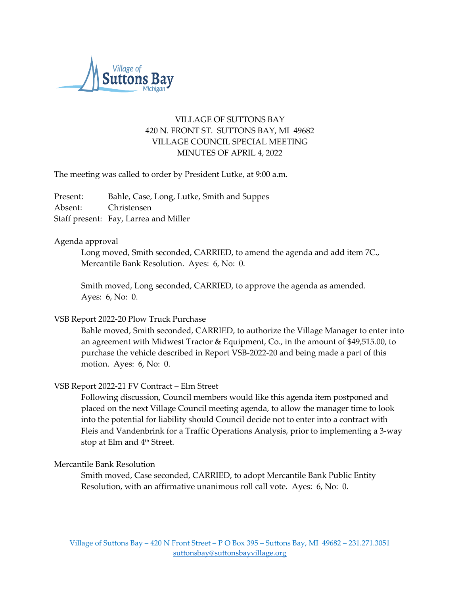

# VILLAGE OF SUTTONS BAY 420 N. FRONT ST. SUTTONS BAY, MI 49682 VILLAGE COUNCIL SPECIAL MEETING MINUTES OF APRIL 4, 2022

The meeting was called to order by President Lutke, at 9:00 a.m.

Present: Bahle, Case, Long, Lutke, Smith and Suppes Absent: Christensen Staff present: Fay, Larrea and Miller

## Agenda approval

Long moved, Smith seconded, CARRIED, to amend the agenda and add item 7C., Mercantile Bank Resolution. Ayes: 6, No: 0.

Smith moved, Long seconded, CARRIED, to approve the agenda as amended. Ayes: 6, No: 0.

## VSB Report 2022-20 Plow Truck Purchase

Bahle moved, Smith seconded, CARRIED, to authorize the Village Manager to enter into an agreement with Midwest Tractor & Equipment, Co., in the amount of \$49,515.00, to purchase the vehicle described in Report VSB-2022-20 and being made a part of this motion. Ayes: 6, No: 0.

#### VSB Report 2022-21 FV Contract – Elm Street

Following discussion, Council members would like this agenda item postponed and placed on the next Village Council meeting agenda, to allow the manager time to look into the potential for liability should Council decide not to enter into a contract with Fleis and Vandenbrink for a Traffic Operations Analysis, prior to implementing a 3-way stop at Elm and 4<sup>th</sup> Street.

### Mercantile Bank Resolution

Smith moved, Case seconded, CARRIED, to adopt Mercantile Bank Public Entity Resolution, with an affirmative unanimous roll call vote. Ayes: 6, No: 0.